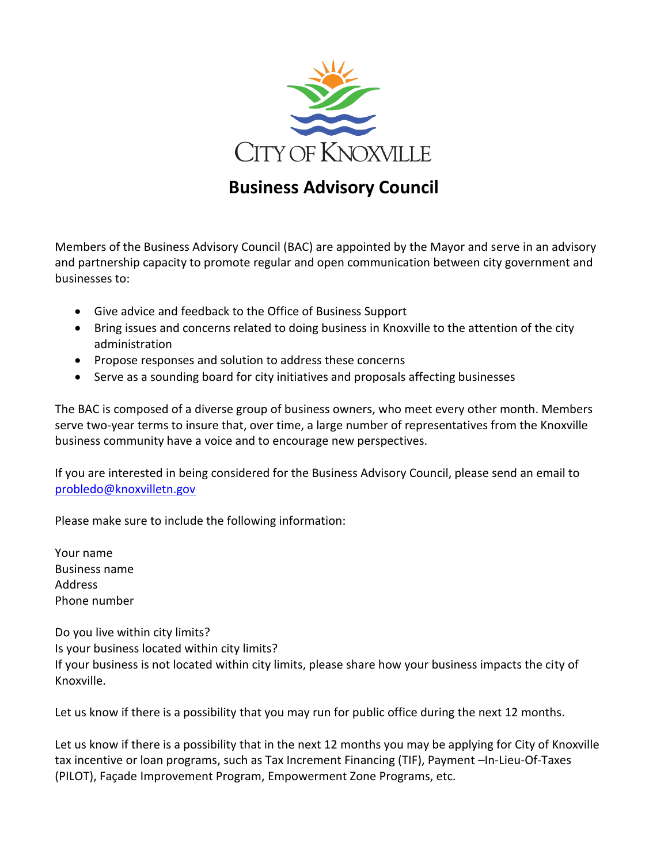

# **Business Advisory Council**

Members of the Business Advisory Council (BAC) are appointed by the Mayor and serve in an advisory and partnership capacity to promote regular and open communication between city government and businesses to:

- Give advice and feedback to the Office of Business Support
- Bring issues and concerns related to doing business in Knoxville to the attention of the city administration
- Propose responses and solution to address these concerns
- Serve as a sounding board for city initiatives and proposals affecting businesses

The BAC is composed of a diverse group of business owners, who meet every other month. Members serve two-year terms to insure that, over time, a large number of representatives from the Knoxville business community have a voice and to encourage new perspectives.

If you are interested in being considered for the Business Advisory Council, please send an email to [probledo@knoxvilletn.gov](mailto:probledo@knoxvilletn.gov)

Please make sure to include the following information:

Your name Business name Address Phone number

Do you live within city limits? Is your business located within city limits? If your business is not located within city limits, please share how your business impacts the city of Knoxville.

Let us know if there is a possibility that you may run for public office during the next 12 months.

Let us know if there is a possibility that in the next 12 months you may be applying for City of Knoxville tax incentive or loan programs, such as Tax Increment Financing (TIF), Payment –In-Lieu-Of-Taxes (PILOT), Façade Improvement Program, Empowerment Zone Programs, etc.